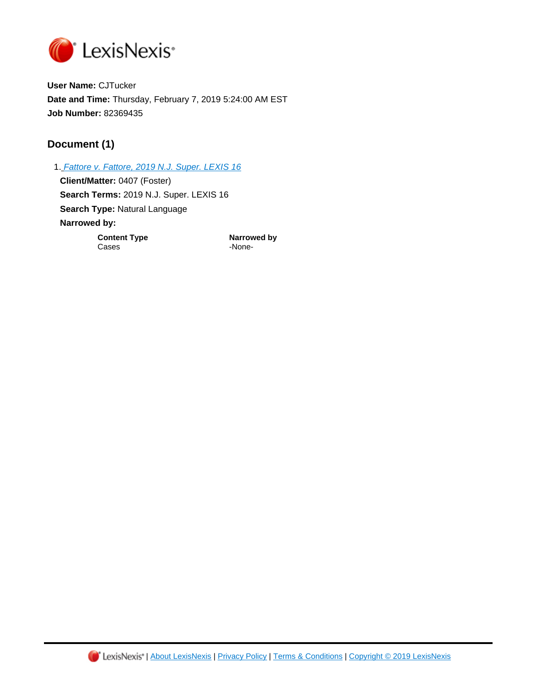

**User Name:** CJTucker **Date and Time:** Thursday, February 7, 2019 5:24:00 AM EST **Job Number:** 82369435

# **Document (1)**

1. [Fattore v. Fattore, 2019 N.J. Super. LEXIS 16](https://advance.lexis.com/api/document?id=urn:contentItem:5VC0-3MX1-F900-G1HR-00000-00&idtype=PID&context=1000516) **Client/Matter:** 0407 (Foster) **Search Terms:** 2019 N.J. Super. LEXIS 16 **Search Type:** Natural Language **Narrowed by: Content Type <b>Narrowed** by Cases Fig. 2.1 All the Second Phone-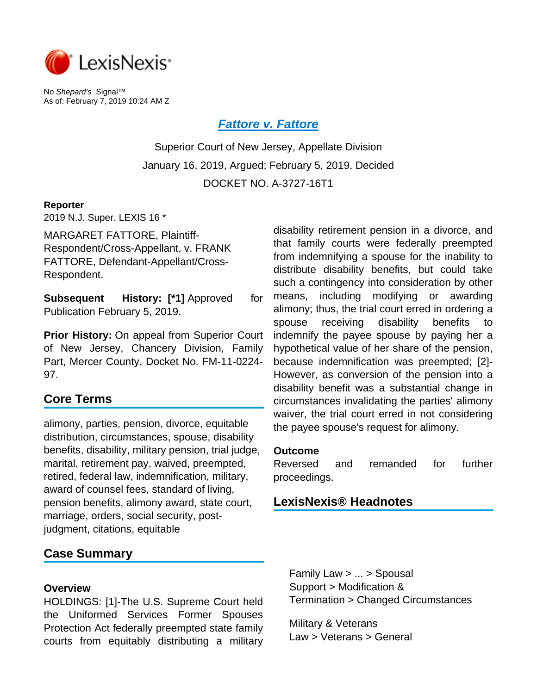

No Shepard's Signal™ As of: February 7, 2019 10:24 AM Z

# **[Fattore v. Fattore](https://advance.lexis.com/api/document?collection=cases&id=urn:contentItem:5VC0-3MX1-F900-G1HR-00000-00&context=)**

Superior Court of New Jersey, Appellate Division January 16, 2019, Argued; February 5, 2019, Decided DOCKET NO. A-3727-16T1

#### **Reporter**

2019 N.J. Super. LEXIS 16 \*

MARGARET FATTORE, Plaintiff-Respondent/Cross-Appellant, v. FRANK FATTORE, Defendant-Appellant/Cross-Respondent.

**Subsequent History: [\*1] Approved for** Publication February 5, 2019.

**Prior History:** On appeal from Superior Court of New Jersey, Chancery Division, Family Part, Mercer County, Docket No. FM-11-0224- 97.

# **Core Terms**

alimony, parties, pension, divorce, equitable distribution, circumstances, spouse, disability benefits, disability, military pension, trial judge, marital, retirement pay, waived, preempted, retired, federal law, indemnification, military, award of counsel fees, standard of living, pension benefits, alimony award, state court, marriage, orders, social security, postjudgment, citations, equitable

# **Case Summary**

#### **Overview**

HOLDINGS: [1]-The U.S. Supreme Court held the Uniformed Services Former Spouses Protection Act federally preempted state family courts from equitably distributing a military

disability retirement pension in a divorce, and that family courts were federally preempted from indemnifying a spouse for the inability to distribute disability benefits, but could take such a contingency into consideration by other means, including modifying or awarding alimony; thus, the trial court erred in ordering a spouse receiving disability benefits to indemnify the payee spouse by paying her a hypothetical value of her share of the pension, because indemnification was preempted; [2]- However, as conversion of the pension into a disability benefit was a substantial change in circumstances invalidating the parties' alimony waiver, the trial court erred in not considering the payee spouse's request for alimony.

#### **Outcome**

Reversed and remanded for further proceedings.

# **LexisNexis® Headnotes**

Family Law > ... > Spousal Support > Modification & Termination > Changed Circumstances

Military & Veterans Law > Veterans > General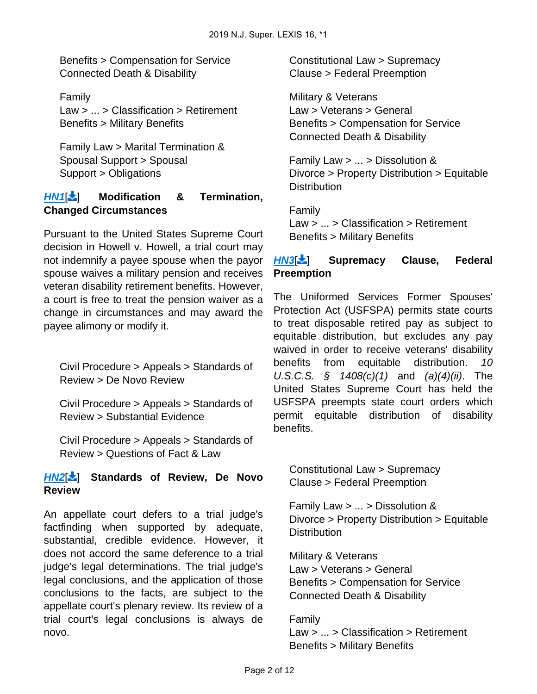Benefits > Compensation for Service Connected Death & Disability

Family Law > ... > Classification > Retirement Benefits > Military Benefits

Family Law > Marital Termination & Spousal Support > Spousal Support > Obligations

# **[HN1](https://advance.lexis.com/api/document?collection=cases&id=urn:contentItem:5VC0-3MX1-F900-G1HR-00000-00&context=&link=LNHNREFclscc1)**[\[](#page-5-0) ] **Modification & Termination, Changed Circumstances**

Pursuant to the United States Supreme Court decision in Howell v. Howell, a trial court may not indemnify a payee spouse when the payor spouse waives a military pension and receives veteran disability retirement benefits. However, a court is free to treat the pension waiver as a change in circumstances and may award the payee alimony or modify it.

<span id="page-2-0"></span>Civil Procedure > Appeals > Standards of Review > De Novo Review

Civil Procedure > Appeals > Standards of Review > Substantial Evidence

Civil Procedure > Appeals > Standards of Review > Questions of Fact & Law

# **[HN2](https://advance.lexis.com/api/document?collection=cases&id=urn:contentItem:5VC0-3MX1-F900-G1HR-00000-00&context=&link=LNHNREFclscc2)**[\[](#page-8-0) ] **Standards of Review, De Novo Review**

<span id="page-2-1"></span>An appellate court defers to a trial judge's factfinding when supported by adequate, substantial, credible evidence. However, it does not accord the same deference to a trial judge's legal determinations. The trial judge's legal conclusions, and the application of those conclusions to the facts, are subject to the appellate court's plenary review. Its review of a trial court's legal conclusions is always de novo.

Constitutional Law > Supremacy Clause > Federal Preemption

Military & Veterans Law > Veterans > General Benefits > Compensation for Service Connected Death & Disability

Family Law > ... > Dissolution & Divorce > Property Distribution > Equitable **Distribution** 

Family Law > ... > Classification > Retirement Benefits > Military Benefits

# **[HN3](https://advance.lexis.com/api/document?collection=cases&id=urn:contentItem:5VC0-3MX1-F900-G1HR-00000-00&context=&link=LNHNREFclscc3)<sup>[\[](#page-8-1)2</sup>]** Supremacy Clause, Federal **Preemption**

The Uniformed Services Former Spouses' Protection Act (USFSPA) permits state courts to treat disposable retired pay as subject to equitable distribution, but excludes any pay waived in order to receive veterans' disability benefits from equitable distribution. 10 U.S.C.S.  $\frac{1}{2}$  1408(c)(1) and (a)(4)(ii). The United States Supreme Court has held the USFSPA preempts state court orders which permit equitable distribution of disability benefits.

<span id="page-2-2"></span>Constitutional Law > Supremacy Clause > Federal Preemption

Family Law > ... > Dissolution & Divorce > Property Distribution > Equitable **Distribution** 

Military & Veterans Law > Veterans > General Benefits > Compensation for Service Connected Death & Disability

#### Family

Law > ... > Classification > Retirement Benefits > Military Benefits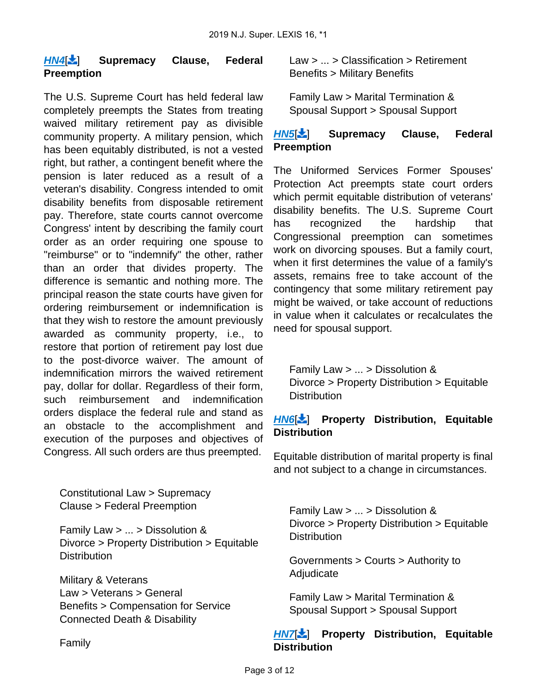### **[HN4](https://advance.lexis.com/api/document?collection=cases&id=urn:contentItem:5VC0-3MX1-F900-G1HR-00000-00&context=&link=LNHNREFclscc4)**[\[](#page-9-0) ] **Supremacy Clause, Federal Preemption**

The U.S. Supreme Court has held federal law completely preempts the States from treating waived military retirement pay as divisible community property. A military pension, which has been equitably distributed, is not a vested right, but rather, a contingent benefit where the pension is later reduced as a result of a veteran's disability. Congress intended to omit disability benefits from disposable retirement pay. Therefore, state courts cannot overcome Congress' intent by describing the family court order as an order requiring one spouse to "reimburse" or to "indemnify" the other, rather than an order that divides property. The difference is semantic and nothing more. The principal reason the state courts have given for ordering reimbursement or indemnification is that they wish to restore the amount previously awarded as community property, i.e., to restore that portion of retirement pay lost due to the post-divorce waiver. The amount of indemnification mirrors the waived retirement pay, dollar for dollar. Regardless of their form, such reimbursement and indemnification orders displace the federal rule and stand as an obstacle to the accomplishment and execution of the purposes and objectives of Congress. All such orders are thus preempted.

<span id="page-3-0"></span>Constitutional Law > Supremacy Clause > Federal Preemption

Family Law > ... > Dissolution & Divorce > Property Distribution > Equitable **Distribution** 

Military & Veterans Law > Veterans > General Benefits > Compensation for Service Connected Death & Disability

Family

Law > ... > Classification > Retirement Benefits > Military Benefits

Family Law > Marital Termination & Spousal Support > Spousal Support

# **[HN5](https://advance.lexis.com/api/document?collection=cases&id=urn:contentItem:5VC0-3MX1-F900-G1HR-00000-00&context=&link=LNHNREFclscc5)**[ [\]](#page-10-0) **Supremacy Clause, Federal Preemption**

The Uniformed Services Former Spouses' Protection Act preempts state court orders which permit equitable distribution of veterans' disability benefits. The U.S. Supreme Court has recognized the hardship that Congressional preemption can sometimes work on divorcing spouses. But a family court, when it first determines the value of a family's assets, remains free to take account of the contingency that some military retirement pay might be waived, or take account of reductions in value when it calculates or recalculates the need for spousal support.

<span id="page-3-1"></span>Family Law > ... > Dissolution & Divorce > Property Distribution > Equitable **Distribution** 

# **[HN6](https://advance.lexis.com/api/document?collection=cases&id=urn:contentItem:5VC0-3MX1-F900-G1HR-00000-00&context=&link=LNHNREFclscc6)**[\[](#page-10-1) ] **Property Distribution, Equitable Distribution**

Equitable distribution of marital property is final and not subject to a change in circumstances.

Family Law > ... > Dissolution & Divorce > Property Distribution > Equitable **Distribution** 

Governments > Courts > Authority to **Adjudicate** 

Family Law > Marital Termination & Spousal Support > Spousal Support

# **[HN7](https://advance.lexis.com/api/document?collection=cases&id=urn:contentItem:5VC0-3MX1-F900-G1HR-00000-00&context=&link=LNHNREFclscc7)<sup>1</sup> Property Distribution, Equitable Distribution**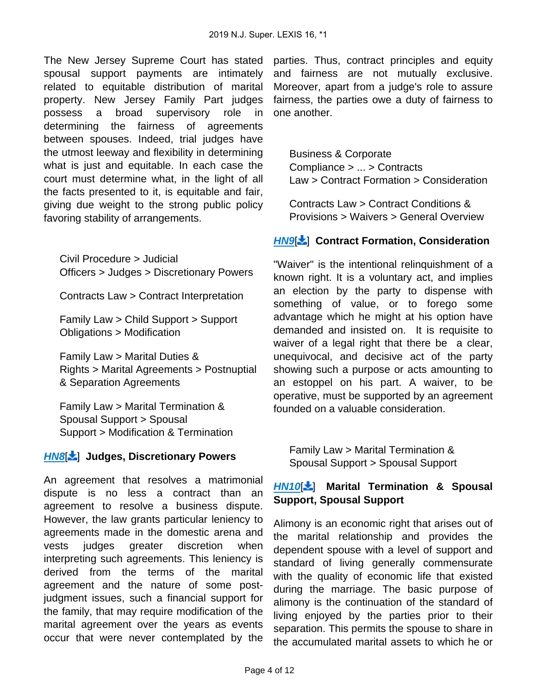The New Jersey Supreme Court has stated spousal support payments are intimately related to equitable distribution of marital property. New Jersey Family Part judges possess a broad supervisory role in determining the fairness of agreements between spouses. Indeed, trial judges have the utmost leeway and flexibility in determining what is just and equitable. In each case the court must determine what, in the light of all the facts presented to it, is equitable and fair, giving due weight to the strong public policy favoring stability of arrangements.

<span id="page-4-0"></span>Civil Procedure > Judicial Officers > Judges > Discretionary Powers

Contracts Law > Contract Interpretation

Family Law > Child Support > Support Obligations > Modification

Family Law > Marital Duties & Rights > Marital Agreements > Postnuptial & Separation Agreements

Family Law > Marital Termination & Spousal Support > Spousal Support > Modification & Termination

# **[HN8](https://advance.lexis.com/api/document?collection=cases&id=urn:contentItem:5VC0-3MX1-F900-G1HR-00000-00&context=&link=LNHNREFclscc8)**[\[](#page-10-3) ] **Judges, Discretionary Powers**

An agreement that resolves a matrimonial dispute is no less a contract than an agreement to resolve a business dispute. However, the law grants particular leniency to agreements made in the domestic arena and vests judges greater discretion when interpreting such agreements. This leniency is derived from the terms of the marital agreement and the nature of some postjudgment issues, such a financial support for the family, that may require modification of the marital agreement over the years as events occur that were never contemplated by the

parties. Thus, contract principles and equity and fairness are not mutually exclusive. Moreover, apart from a judge's role to assure fairness, the parties owe a duty of fairness to one another.

<span id="page-4-1"></span>Business & Corporate Compliance > ... > Contracts Law > Contract Formation > Consideration

Contracts Law > Contract Conditions & Provisions > Waivers > General Overview

# **[HN9](https://advance.lexis.com/api/document?collection=cases&id=urn:contentItem:5VC0-3MX1-F900-G1HR-00000-00&context=&link=LNHNREFclscc9)<sup>[\[](#page-11-0)2</sup>] Contract Formation, Consideration**

"Waiver" is the intentional relinquishment of a known right. It is a voluntary act, and implies an election by the party to dispense with something of value, or to forego some advantage which he might at his option have demanded and insisted on. It is requisite to waiver of a legal right that there be a clear, unequivocal, and decisive act of the party showing such a purpose or acts amounting to an estoppel on his part. A waiver, to be operative, must be supported by an agreement founded on a valuable consideration.

<span id="page-4-2"></span>Family Law > Marital Termination & Spousal Support > Spousal Support

# **[HN10](https://advance.lexis.com/api/document?collection=cases&id=urn:contentItem:5VC0-3MX1-F900-G1HR-00000-00&context=&link=LNHNREFclscc10)**[ [\]](#page-11-1) **Marital Termination & Spousal Support, Spousal Support**

Alimony is an economic right that arises out of the marital relationship and provides the dependent spouse with a level of support and standard of living generally commensurate with the quality of economic life that existed during the marriage. The basic purpose of alimony is the continuation of the standard of living enjoyed by the parties prior to their separation. This permits the spouse to share in the accumulated marital assets to which he or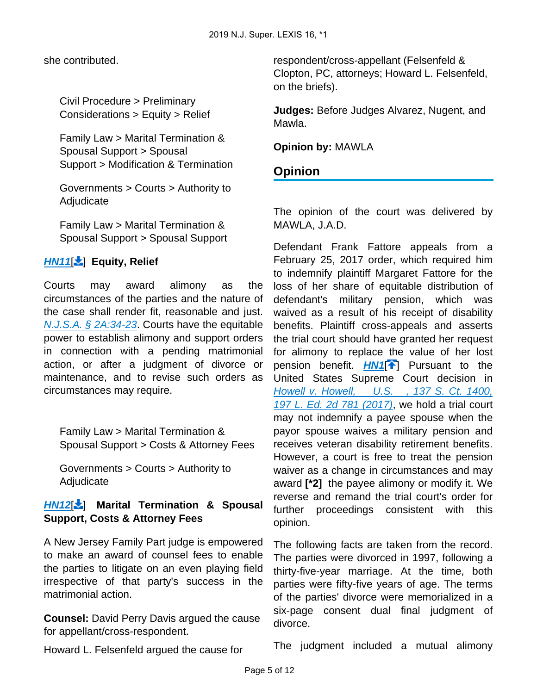she contributed.

Civil Procedure > Preliminary Considerations > Equity > Relief

Family Law > Marital Termination & Spousal Support > Spousal Support > Modification & Termination

Governments > Courts > Authority to Adjudicate

Family Law > Marital Termination & Spousal Support > Spousal Support

# **[HN11](https://advance.lexis.com/api/document?collection=cases&id=urn:contentItem:5VC0-3MX1-F900-G1HR-00000-00&context=&link=LNHNREFclscc11)**[ [\]](#page-11-2) **Equity, Relief**

Courts may award alimony as the circumstances of the parties and the nature of the case shall render fit, reasonable and just. [N.J.S.A. § 2A:34-23](https://advance.lexis.com/api/document?collection=statutes-legislation&id=urn:contentItem:5F0Y-BKK1-6F13-048B-00000-00&context=). Courts have the equitable power to establish alimony and support orders in connection with a pending matrimonial action, or after a judgment of divorce or maintenance, and to revise such orders as circumstances may require.

Family Law > Marital Termination & Spousal Support > Costs & Attorney Fees

Governments > Courts > Authority to Adjudicate

# **[HN12](https://advance.lexis.com/api/document?collection=cases&id=urn:contentItem:5VC0-3MX1-F900-G1HR-00000-00&context=&link=LNHNREFclscc12)**[ [\]](#page-12-0) **Marital Termination & Spousal Support, Costs & Attorney Fees**

A New Jersey Family Part judge is empowered to make an award of counsel fees to enable the parties to litigate on an even playing field irrespective of that party's success in the matrimonial action.

**Counsel:** David Perry Davis argued the cause for appellant/cross-respondent.

respondent/cross-appellant (Felsenfeld & Clopton, PC, attorneys; Howard L. Felsenfeld, on the briefs).

**Judges:** Before Judges Alvarez, Nugent, and Mawla.

**Opinion by:** MAWLA

# **Opinion**

The opinion of the court was delivered by MAWLA, J.A.D.

<span id="page-5-0"></span>Defendant Frank Fattore appeals from a February 25, 2017 order, which required him to indemnify plaintiff Margaret Fattore for the loss of her share of equitable distribution of defendant's military pension, which was waived as a result of his receipt of disability benefits. Plaintiff cross-appeals and asserts the trial court should have granted her request for alimony to replace the value of her lost pension benefit. **[HN1](https://advance.lexis.com/api/document?collection=cases&id=urn:contentItem:5VC0-3MX1-F900-G1HR-00000-00&context=&link=clscc1)<sup>[2</sup>]** Pursuant to the United States Supreme Court decision in [Howell v. Howell, U.S. , 137 S. Ct. 1400,](https://advance.lexis.com/api/document?collection=cases&id=urn:contentItem:5NJC-DVX1-F04K-F06T-00000-00&context=)  [197 L. Ed. 2d 781 \(2017\)](https://advance.lexis.com/api/document?collection=cases&id=urn:contentItem:5NJC-DVX1-F04K-F06T-00000-00&context=), we hold a trial court may not indemnify a payee spouse when the payor spouse waives a military pension and receives veteran disability retirement benefits. However, a court is free to treat the pension waiver as a change in circumstances and may award **[\*2]** the payee alimony or modify it. We reverse and remand the trial court's order for further proceedings consistent with this opinion.

The following facts are taken from the record. The parties were divorced in 1997, following a thirty-five-year marriage. At the time, both parties were fifty-five years of age. The terms of the parties' divorce were memorialized in a six-page consent dual final judgment of divorce.

Howard L. Felsenfeld argued the cause for

The judgment included a mutual alimony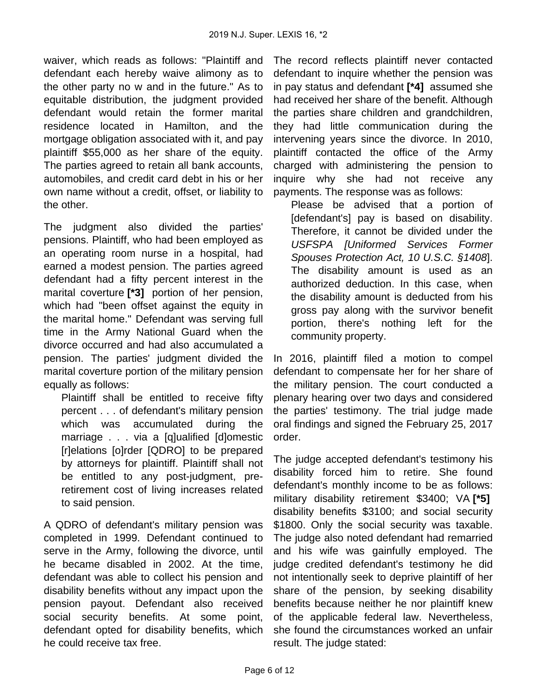waiver, which reads as follows: "Plaintiff and defendant each hereby waive alimony as to the other party no w and in the future." As to equitable distribution, the judgment provided defendant would retain the former marital residence located in Hamilton, and the mortgage obligation associated with it, and pay plaintiff \$55,000 as her share of the equity. The parties agreed to retain all bank accounts, automobiles, and credit card debt in his or her own name without a credit, offset, or liability to the other.

The judgment also divided the parties' pensions. Plaintiff, who had been employed as an operating room nurse in a hospital, had earned a modest pension. The parties agreed defendant had a fifty percent interest in the marital coverture **[\*3]** portion of her pension, which had "been offset against the equity in the marital home." Defendant was serving full time in the Army National Guard when the divorce occurred and had also accumulated a pension. The parties' judgment divided the marital coverture portion of the military pension equally as follows:

Plaintiff shall be entitled to receive fifty percent . . . of defendant's military pension which was accumulated during the marriage . . . via a [q]ualified [d]omestic [r]elations [o]rder [QDRO] to be prepared by attorneys for plaintiff. Plaintiff shall not be entitled to any post-judgment, preretirement cost of living increases related to said pension.

A QDRO of defendant's military pension was completed in 1999. Defendant continued to serve in the Army, following the divorce, until he became disabled in 2002. At the time, defendant was able to collect his pension and disability benefits without any impact upon the pension payout. Defendant also received social security benefits. At some point, defendant opted for disability benefits, which he could receive tax free.

The record reflects plaintiff never contacted defendant to inquire whether the pension was in pay status and defendant **[\*4]** assumed she had received her share of the benefit. Although the parties share children and grandchildren, they had little communication during the intervening years since the divorce. In 2010, plaintiff contacted the office of the Army charged with administering the pension to inquire why she had not receive any payments. The response was as follows:

Please be advised that a portion of [defendant's] pay is based on disability. Therefore, it cannot be divided under the USFSPA [Uniformed Services Former Spouses Protection Act, 10 U.S.C. §1408]. The disability amount is used as an authorized deduction. In this case, when the disability amount is deducted from his gross pay along with the survivor benefit portion, there's nothing left for the community property.

In 2016, plaintiff filed a motion to compel defendant to compensate her for her share of the military pension. The court conducted a plenary hearing over two days and considered the parties' testimony. The trial judge made oral findings and signed the February 25, 2017 order.

The judge accepted defendant's testimony his disability forced him to retire. She found defendant's monthly income to be as follows: military disability retirement \$3400; VA **[\*5]**  disability benefits \$3100; and social security \$1800. Only the social security was taxable. The judge also noted defendant had remarried and his wife was gainfully employed. The judge credited defendant's testimony he did not intentionally seek to deprive plaintiff of her share of the pension, by seeking disability benefits because neither he nor plaintiff knew of the applicable federal law. Nevertheless, she found the circumstances worked an unfair result. The judge stated: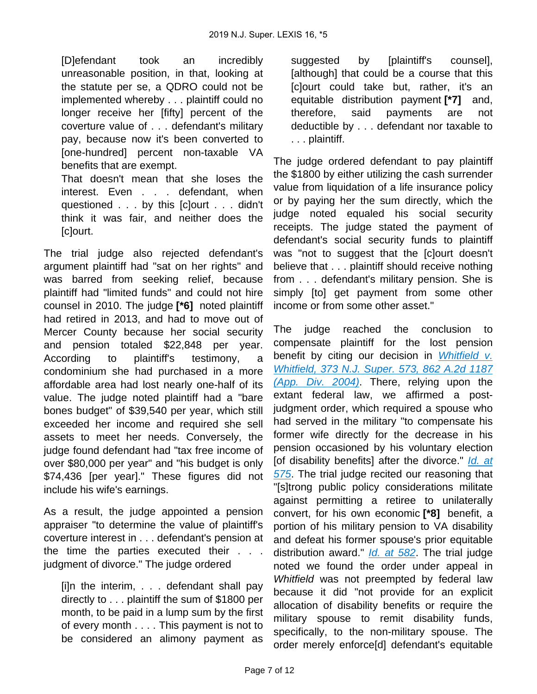[D]efendant took an incredibly unreasonable position, in that, looking at the statute per se, a QDRO could not be implemented whereby . . . plaintiff could no longer receive her [fifty] percent of the coverture value of . . . defendant's military pay, because now it's been converted to [one-hundred] percent non-taxable VA benefits that are exempt.

That doesn't mean that she loses the interest. Even . . . defendant, when questioned . . . by this [c]ourt . . . didn't think it was fair, and neither does the [c]ourt.

The trial judge also rejected defendant's argument plaintiff had "sat on her rights" and was barred from seeking relief, because plaintiff had "limited funds" and could not hire counsel in 2010. The judge **[\*6]** noted plaintiff had retired in 2013, and had to move out of Mercer County because her social security and pension totaled \$22,848 per year. According to plaintiff's testimony, a condominium she had purchased in a more affordable area had lost nearly one-half of its value. The judge noted plaintiff had a "bare bones budget" of \$39,540 per year, which still exceeded her income and required she sell assets to meet her needs. Conversely, the judge found defendant had "tax free income of over \$80,000 per year" and "his budget is only \$74,436 [per year]." These figures did not include his wife's earnings.

As a result, the judge appointed a pension appraiser "to determine the value of plaintiff's coverture interest in . . . defendant's pension at the time the parties executed their . . . judgment of divorce." The judge ordered

[i]n the interim, . . . defendant shall pay directly to . . . plaintiff the sum of \$1800 per month, to be paid in a lump sum by the first of every month . . . . This payment is not to be considered an alimony payment as

suggested by [plaintiff's counsel], [although] that could be a course that this [c]ourt could take but, rather, it's an equitable distribution payment **[\*7]** and, therefore, said payments are not deductible by . . . defendant nor taxable to . . . plaintiff.

The judge ordered defendant to pay plaintiff the \$1800 by either utilizing the cash surrender value from liquidation of a life insurance policy or by paying her the sum directly, which the judge noted equaled his social security receipts. The judge stated the payment of defendant's social security funds to plaintiff was "not to suggest that the [c]ourt doesn't believe that . . . plaintiff should receive nothing from . . . defendant's military pension. She is simply [to] get payment from some other income or from some other asset."

The judge reached the conclusion to compensate plaintiff for the lost pension benefit by citing our decision in *Whitfield v.* [Whitfield, 373 N.J. Super. 573, 862 A.2d 1187](https://advance.lexis.com/api/document?collection=cases&id=urn:contentItem:4F4R-2G70-0039-41RD-00000-00&context=)  [\(App. Div. 2004\)](https://advance.lexis.com/api/document?collection=cases&id=urn:contentItem:4F4R-2G70-0039-41RD-00000-00&context=). There, relying upon the extant federal law, we affirmed a postjudgment order, which required a spouse who had served in the military "to compensate his former wife directly for the decrease in his pension occasioned by his voluntary election [of disability benefits] after the divorce." *Id. at* [575](https://advance.lexis.com/api/document?collection=cases&id=urn:contentItem:4F4R-2G70-0039-41RD-00000-00&context=). The trial judge recited our reasoning that "[s]trong public policy considerations militate against permitting a retiree to unilaterally convert, for his own economic **[\*8]** benefit, a portion of his military pension to VA disability and defeat his former spouse's prior equitable distribution award." *[Id. at 582](https://advance.lexis.com/api/document?collection=cases&id=urn:contentItem:4F4R-2G70-0039-41RD-00000-00&context=)*. The trial judge noted we found the order under appeal in Whitfield was not preempted by federal law because it did "not provide for an explicit allocation of disability benefits or require the military spouse to remit disability funds, specifically, to the non-military spouse. The order merely enforce[d] defendant's equitable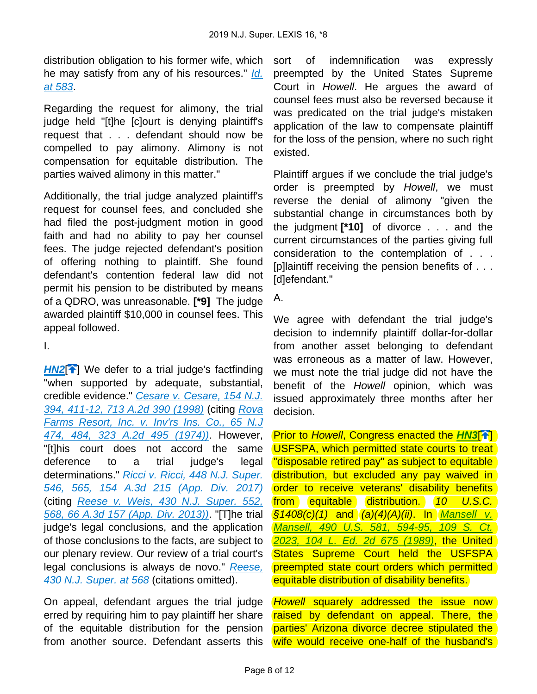distribution obligation to his former wife, which he may satisfy from any of his resources." Id. [at 583](https://advance.lexis.com/api/document?collection=cases&id=urn:contentItem:4F4R-2G70-0039-41RD-00000-00&context=).

Regarding the request for alimony, the trial judge held "[t]he [c]ourt is denying plaintiff's request that . . . defendant should now be compelled to pay alimony. Alimony is not compensation for equitable distribution. The parties waived alimony in this matter."

Additionally, the trial judge analyzed plaintiff's request for counsel fees, and concluded she had filed the post-judgment motion in good faith and had no ability to pay her counsel fees. The judge rejected defendant's position of offering nothing to plaintiff. She found defendant's contention federal law did not permit his pension to be distributed by means of a QDRO, was unreasonable. **[\*9]** The judge awarded plaintiff \$10,000 in counsel fees. This appeal followed.

<span id="page-8-0"></span>I.

**[HN2](https://advance.lexis.com/api/document?collection=cases&id=urn:contentItem:5VC0-3MX1-F900-G1HR-00000-00&context=&link=clscc2)<sup>[\[](#page-2-0)4]</sup>** We defer to a trial judge's factfinding "when supported by adequate, substantial, credible evidence." [Cesare v. Cesare, 154 N.J.](https://advance.lexis.com/api/document?collection=cases&id=urn:contentItem:3SX7-DK90-0039-40G6-00000-00&context=)  [394, 411-12, 713 A.2d 390 \(1998\)](https://advance.lexis.com/api/document?collection=cases&id=urn:contentItem:3SX7-DK90-0039-40G6-00000-00&context=) (citing [Rova](https://advance.lexis.com/api/document?collection=cases&id=urn:contentItem:3RRM-XDM0-003C-N34X-00000-00&context=)  [Farms Resort, Inc. v. Inv'rs Ins. Co., 65 N.J](https://advance.lexis.com/api/document?collection=cases&id=urn:contentItem:3RRM-XDM0-003C-N34X-00000-00&context=)  [474, 484, 323 A.2d 495 \(1974\)\)](https://advance.lexis.com/api/document?collection=cases&id=urn:contentItem:3RRM-XDM0-003C-N34X-00000-00&context=). However, "[t]his court does not accord the same deference to a trial judge's legal determinations." Ricci v. Ricci, 448 N.J. Super. [546, 565, 154 A.3d 215 \(App. Div. 2017\)](https://advance.lexis.com/api/document?collection=cases&id=urn:contentItem:5MVB-9DS1-F04H-W002-00000-00&context=) (citing [Reese v. Weis, 430 N.J. Super. 552,](https://advance.lexis.com/api/document?collection=cases&id=urn:contentItem:58C5-6391-F04H-W008-00000-00&context=)  [568, 66 A.3d 157 \(App. Div. 2013\)\)](https://advance.lexis.com/api/document?collection=cases&id=urn:contentItem:58C5-6391-F04H-W008-00000-00&context=). "[T]he trial judge's legal conclusions, and the application of those conclusions to the facts, are subject to our plenary review. Our review of a trial court's legal conclusions is always de novo." [Reese,](https://advance.lexis.com/api/document?collection=cases&id=urn:contentItem:58C5-6391-F04H-W008-00000-00&context=)  [430 N.J. Super. at 568](https://advance.lexis.com/api/document?collection=cases&id=urn:contentItem:58C5-6391-F04H-W008-00000-00&context=) (citations omitted).

On appeal, defendant argues the trial judge erred by requiring him to pay plaintiff her share of the equitable distribution for the pension from another source. Defendant asserts this

sort of indemnification was expressly preempted by the United States Supreme Court in Howell. He argues the award of counsel fees must also be reversed because it was predicated on the trial judge's mistaken application of the law to compensate plaintiff for the loss of the pension, where no such right existed.

Plaintiff argues if we conclude the trial judge's order is preempted by Howell, we must reverse the denial of alimony "given the substantial change in circumstances both by the judgment **[\*10]** of divorce . . . and the current circumstances of the parties giving full consideration to the contemplation of . . . [p]laintiff receiving the pension benefits of . . . [d]efendant."

A.

We agree with defendant the trial judge's decision to indemnify plaintiff dollar-for-dollar from another asset belonging to defendant was erroneous as a matter of law. However, we must note the trial judge did not have the benefit of the Howell opinion, which was issued approximately three months after her decision.

<span id="page-8-1"></span>**Prior to Howell, Congress enacted the [HN3](https://advance.lexis.com/api/document?collection=cases&id=urn:contentItem:5VC0-3MX1-F900-G1HR-00000-00&context=&link=clscc3)<sup>[41</sup>[\]](#page-2-1)** USFSPA, which permitted state courts to treat "disposable retired pay" as subject to equitable distribution, but excluded any pay waived in order to receive veterans' disability benefits from equitable distribution. 10 U.S.C.  $\S1408(c)(1)$  and  $(Qa)(4)(A)(ii)$ . In *Mansell v.* [Mansell, 490 U.S. 581, 594-95, 109 S. Ct.](https://advance.lexis.com/api/document?collection=cases&id=urn:contentItem:3S4X-B3K0-003B-41ND-00000-00&context=)  [2023, 104 L. Ed. 2d 675 \(1989\)](https://advance.lexis.com/api/document?collection=cases&id=urn:contentItem:3S4X-B3K0-003B-41ND-00000-00&context=), the United States Supreme Court held the USFSPA preempted state court orders which permitted equitable distribution of disability benefits.

Howell squarely addressed the issue now raised by defendant on appeal. There, the parties' Arizona divorce decree stipulated the wife would receive one-half of the husband's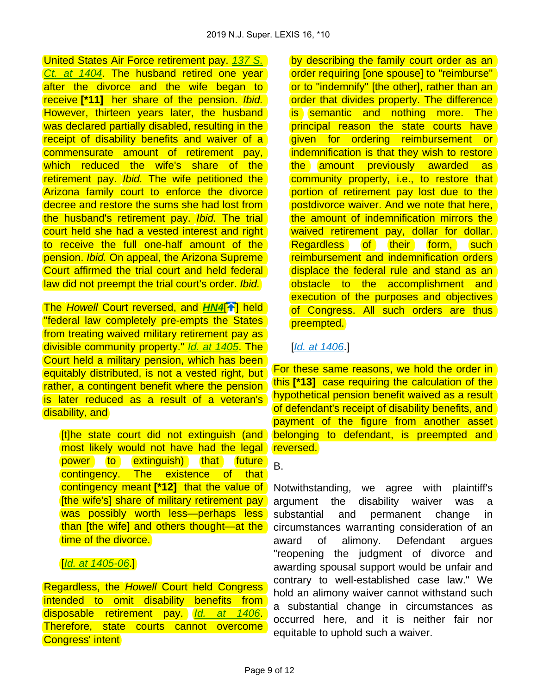United States Air Force retirement pay. [137 S.](https://advance.lexis.com/api/document?collection=cases&id=urn:contentItem:5NJC-DVX1-F04K-F06T-00000-00&context=)  [Ct. at 1404](https://advance.lexis.com/api/document?collection=cases&id=urn:contentItem:5NJC-DVX1-F04K-F06T-00000-00&context=). The husband retired one year after the divorce and the wife began to receive **[\*11]** her share of the pension. Ibid. However, thirteen years later, the husband was declared partially disabled, resulting in the receipt of disability benefits and waiver of a commensurate amount of retirement pay, which reduced the wife's share of the retirement pay. Ibid. The wife petitioned the Arizona family court to enforce the divorce decree and restore the sums she had lost from the husband's retirement pay. Ibid. The trial court held she had a vested interest and right to receive the full one-half amount of the pension. Ibid. On appeal, the Arizona Supreme Court affirmed the trial court and held federal law did not preempt the trial court's order. Ibid.

**The Howell Court reversed, and [HN4](https://advance.lexis.com/api/document?collection=cases&id=urn:contentItem:5VC0-3MX1-F900-G1HR-00000-00&context=&link=clscc4)<sup>[\[](#page-2-2)4]</sup> held** "federal law completely pre-empts the States from treating waived military retirement pay as divisible community property." [Id. at 1405](https://advance.lexis.com/api/document?collection=cases&id=urn:contentItem:5NJC-DVX1-F04K-F06T-00000-00&context=). The Court held a military pension, which has been equitably distributed, is not a vested right, but rather, a contingent benefit where the pension is later reduced as a result of a veteran's disability, and

[t]he state court did not extinguish (and most likely would not have had the legal power to extinguish) that future contingency. The existence of that contingency meant **[\*12]** that the value of [the wife's] share of military retirement pay was possibly worth less-perhaps less than [the wife] and others thought—at the time of the divorce.

# [*[Id. at 1405-06](https://advance.lexis.com/api/document?collection=cases&id=urn:contentItem:5NJC-DVX1-F04K-F06T-00000-00&context=).*]

Regardless, the Howell Court held Congress intended to omit disability benefits from disposable retirement pay. [Id. at 1406](https://advance.lexis.com/api/document?collection=cases&id=urn:contentItem:5NJC-DVX1-F04K-F06T-00000-00&context=). Therefore, state courts cannot overcome Congress' intent

by describing the family court order as an order requiring [one spouse] to "reimburse" or to "indemnify" [the other], rather than an order that divides property. The difference is semantic and nothing more. The principal reason the state courts have given for ordering reimbursement or indemnification is that they wish to restore the amount previously awarded as community property, i.e., to restore that portion of retirement pay lost due to the postdivorce waiver. And we note that here, the amount of indemnification mirrors the waived retirement pay, dollar for dollar. Regardless of their form, such reimbursement and indemnification orders displace the federal rule and stand as an obstacle to the accomplishment and execution of the purposes and objectives of Congress. All such orders are thus preempted.

### [[Id. at 1406](https://advance.lexis.com/api/document?collection=cases&id=urn:contentItem:5NJC-DVX1-F04K-F06T-00000-00&context=).]

<span id="page-9-0"></span>For these same reasons, we hold the order in this **[\*13]** case requiring the calculation of the hypothetical pension benefit waived as a result of defendant's receipt of disability benefits, and payment of the figure from another asset belonging to defendant, is preempted and reversed.

#### B.

Notwithstanding, we agree with plaintiff's argument the disability waiver was a substantial and permanent change in circumstances warranting consideration of an award of alimony. Defendant argues "reopening the judgment of divorce and awarding spousal support would be unfair and contrary to well-established case law." We hold an alimony waiver cannot withstand such a substantial change in circumstances as occurred here, and it is neither fair nor equitable to uphold such a waiver.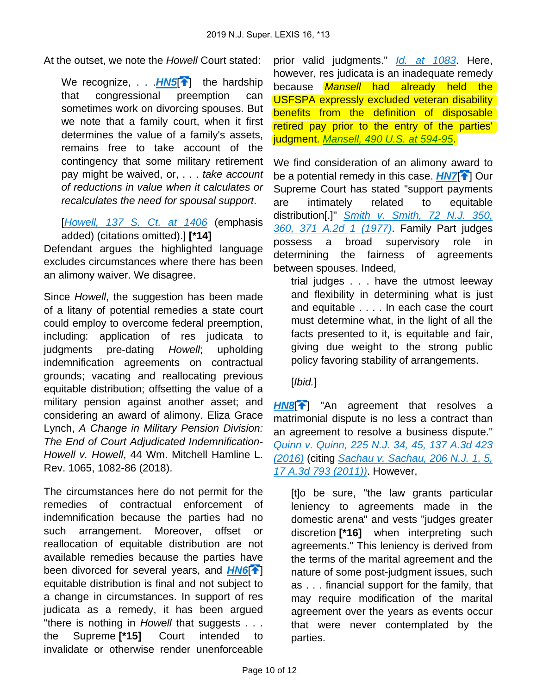At the outset, we note the Howell Court stated:

<span id="page-10-0"></span>We recognize, . . **[HN5](https://advance.lexis.com/api/document?collection=cases&id=urn:contentItem:5VC0-3MX1-F900-G1HR-00000-00&context=&link=clscc5)<sup>[4[\]](#page-3-0)</sup>** the hardship that congressional preemption can sometimes work on divorcing spouses. But we note that a family court, when it first determines the value of a family's assets, remains free to take account of the contingency that some military retirement pay might be waived, or, . . . take account of reductions in value when it calculates or recalculates the need for spousal support.

[[Howell, 137 S. Ct. at 1406](https://advance.lexis.com/api/document?collection=cases&id=urn:contentItem:5NJC-DVX1-F04K-F06T-00000-00&context=) (emphasis added) (citations omitted).] **[\*14]** 

Defendant argues the highlighted language excludes circumstances where there has been an alimony waiver. We disagree.

Since Howell, the suggestion has been made of a litany of potential remedies a state court could employ to overcome federal preemption, including: application of res judicata to judgments pre-dating Howell; upholding indemnification agreements on contractual grounds; vacating and reallocating previous equitable distribution; offsetting the value of a military pension against another asset; and considering an award of alimony. Eliza Grace Lynch, A Change in Military Pension Division: The End of Court Adjudicated Indemnification-Howell v. Howell, 44 Wm. Mitchell Hamline L. Rev. 1065, 1082-86 (2018).

The circumstances here do not permit for the remedies of contractual enforcement of indemnification because the parties had no such arrangement. Moreover, offset or reallocation of equitable distribution are not available remedies because the parties have been divorced for several years, and **[HN6](https://advance.lexis.com/api/document?collection=cases&id=urn:contentItem:5VC0-3MX1-F900-G1HR-00000-00&context=&link=clscc6)**<sup>2</sup> equitable distribution is final and not subject to a change in circumstances. In support of res judicata as a remedy, it has been argued "there is nothing in Howell that suggests . . . the Supreme **[\*15]** Court intended to invalidate or otherwise render unenforceable

prior valid judgments." [Id. at 1083](https://advance.lexis.com/api/document?collection=analytical-materials&id=urn:contentItem:5TD8-VC00-00CV-T0Y9-00000-00&context=). Here, however, res judicata is an inadequate remedy because **Mansell had already held the** USFSPA expressly excluded veteran disability benefits from the definition of disposable retired pay prior to the entry of the parties' iudgment. [Mansell, 490 U.S. at 594-95](https://advance.lexis.com/api/document?collection=cases&id=urn:contentItem:3S4X-B3K0-003B-41ND-00000-00&context=).

<span id="page-10-2"></span>We find consideration of an alimony award to be a potential remedy in this case. **[HN7](https://advance.lexis.com/api/document?collection=cases&id=urn:contentItem:5VC0-3MX1-F900-G1HR-00000-00&context=&link=clscc7)[1]** Our Supreme Court has stated "support payments are intimately related to equitable distribution[.]" [Smith v. Smith, 72 N.J. 350,](https://advance.lexis.com/api/document?collection=cases&id=urn:contentItem:3RRM-X880-003C-N2S6-00000-00&context=)  [360, 371 A.2d 1 \(1977\)](https://advance.lexis.com/api/document?collection=cases&id=urn:contentItem:3RRM-X880-003C-N2S6-00000-00&context=). Family Part judges possess a broad supervisory role in determining the fairness of agreements between spouses. Indeed,

trial judges . . . have the utmost leeway and flexibility in determining what is just and equitable . . . . In each case the court must determine what, in the light of all the facts presented to it, is equitable and fair, giving due weight to the strong public policy favoring stability of arrangements.

# [Ibid.]

<span id="page-10-3"></span>[HN8](https://advance.lexis.com/api/document?collection=cases&id=urn:contentItem:5VC0-3MX1-F900-G1HR-00000-00&context=&link=clscc8)<sup>[\[](#page-4-0)4]</sup> "An agreement that resolves a matrimonial dispute is no less a contract than an agreement to resolve a business dispute." [Quinn v. Quinn, 225 N.J. 34, 45, 137 A.3d 423](https://advance.lexis.com/api/document?collection=cases&id=urn:contentItem:5JP1-NVS1-F04H-V1VR-00000-00&context=)  [\(2016\)](https://advance.lexis.com/api/document?collection=cases&id=urn:contentItem:5JP1-NVS1-F04H-V1VR-00000-00&context=) (citing [Sachau v. Sachau, 206 N.J. 1, 5,](https://advance.lexis.com/api/document?collection=cases&id=urn:contentItem:52V3-CNW1-F04H-V017-00000-00&context=)  [17 A.3d 793 \(2011\)\)](https://advance.lexis.com/api/document?collection=cases&id=urn:contentItem:52V3-CNW1-F04H-V017-00000-00&context=). However,

<span id="page-10-1"></span>[t]o be sure, "the law grants particular leniency to agreements made in the domestic arena" and vests "judges greater discretion **[\*16]** when interpreting such agreements." This leniency is derived from the terms of the marital agreement and the nature of some post-judgment issues, such as . . . financial support for the family, that may require modification of the marital agreement over the years as events occur that were never contemplated by the parties.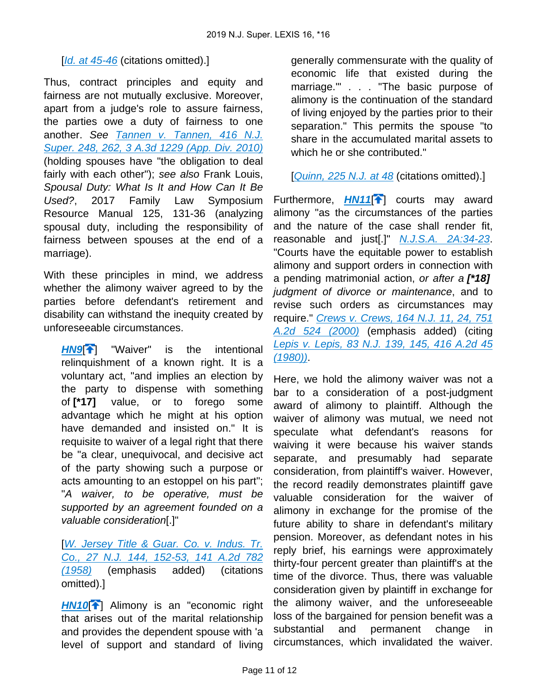### [ $Id.$  at 45-46 (citations omitted).]

Thus, contract principles and equity and fairness are not mutually exclusive. Moreover, apart from a judge's role to assure fairness, the parties owe a duty of fairness to one another. See [Tannen v. Tannen, 416 N.J.](https://advance.lexis.com/api/document?collection=cases&id=urn:contentItem:50XB-T7F1-652N-9001-00000-00&context=)  [Super. 248, 262, 3 A.3d 1229 \(App. Div. 2010\)](https://advance.lexis.com/api/document?collection=cases&id=urn:contentItem:50XB-T7F1-652N-9001-00000-00&context=) (holding spouses have "the obligation to deal fairly with each other"); see also Frank Louis, Spousal Duty: What Is It and How Can It Be Used?, 2017 Family Law Symposium Resource Manual 125, 131-36 (analyzing spousal duty, including the responsibility of fairness between spouses at the end of a marriage).

With these principles in mind, we address whether the alimony waiver agreed to by the parties before defendant's retirement and disability can withstand the inequity created by unforeseeable circumstances.

<span id="page-11-0"></span>**[HN9](https://advance.lexis.com/api/document?collection=cases&id=urn:contentItem:5VC0-3MX1-F900-G1HR-00000-00&context=&link=clscc9)<sup>[\[](#page-4-1)4]</sup>** "Waiver" is the intentional relinquishment of a known right. It is a voluntary act, "and implies an election by the party to dispense with something of **[\*17]** value, or to forego some advantage which he might at his option have demanded and insisted on." It is requisite to waiver of a legal right that there be "a clear, unequivocal, and decisive act of the party showing such a purpose or acts amounting to an estoppel on his part"; "A waiver, to be operative, must be supported by an agreement founded on a valuable consideration[.]"

[[W. Jersey Title & Guar. Co. v. Indus. Tr.](https://advance.lexis.com/api/document?collection=cases&id=urn:contentItem:3RRM-Y8M0-003C-N0R4-00000-00&context=)  [Co., 27 N.J. 144, 152-53, 141 A.2d 782](https://advance.lexis.com/api/document?collection=cases&id=urn:contentItem:3RRM-Y8M0-003C-N0R4-00000-00&context=)  [\(1958\)](https://advance.lexis.com/api/document?collection=cases&id=urn:contentItem:3RRM-Y8M0-003C-N0R4-00000-00&context=) (emphasis added) (citations omitted).]

<span id="page-11-1"></span>**[HN10](https://advance.lexis.com/api/document?collection=cases&id=urn:contentItem:5VC0-3MX1-F900-G1HR-00000-00&context=&link=clscc10)<sup>{</sup>**}</sub> Alimony is an "economic right" that arises out of the marital relationship and provides the dependent spouse with 'a level of support and standard of living

generally commensurate with the quality of economic life that existed during the marriage.'" . . . "The basic purpose of alimony is the continuation of the standard of living enjoyed by the parties prior to their separation." This permits the spouse "to share in the accumulated marital assets to which he or she contributed."

<span id="page-11-2"></span>[[Quinn, 225 N.J. at 48](https://advance.lexis.com/api/document?collection=cases&id=urn:contentItem:5JP1-NVS1-F04H-V1VR-00000-00&context=) (citations omitted).]

Furthermore, **[HN11](https://advance.lexis.com/api/document?collection=cases&id=urn:contentItem:5VC0-3MX1-F900-G1HR-00000-00&context=&link=clscc11)<sup>[4]</sup>** courts may award alimony "as the circumstances of the parties and the nature of the case shall render fit, reasonable and just[.]" [N.J.S.A. 2A:34-23](https://advance.lexis.com/api/document?collection=statutes-legislation&id=urn:contentItem:5F0Y-BKK1-6F13-048B-00000-00&context=). "Courts have the equitable power to establish alimony and support orders in connection with a pending matrimonial action, or after a **[\*18]**  judgment of divorce or maintenance, and to revise such orders as circumstances may require." [Crews v. Crews, 164 N.J. 11, 24, 751](https://advance.lexis.com/api/document?collection=cases&id=urn:contentItem:40CT-DPF0-0039-43VJ-00000-00&context=)  [A.2d 524 \(2000\)](https://advance.lexis.com/api/document?collection=cases&id=urn:contentItem:40CT-DPF0-0039-43VJ-00000-00&context=) (emphasis added) (citing [Lepis v. Lepis, 83 N.J. 139, 145, 416 A.2d 45](https://advance.lexis.com/api/document?collection=cases&id=urn:contentItem:3RRM-WXY0-003C-N1F6-00000-00&context=)  [\(1980\)\)](https://advance.lexis.com/api/document?collection=cases&id=urn:contentItem:3RRM-WXY0-003C-N1F6-00000-00&context=).

Here, we hold the alimony waiver was not a bar to a consideration of a post-judgment award of alimony to plaintiff. Although the waiver of alimony was mutual, we need not speculate what defendant's reasons for waiving it were because his waiver stands separate, and presumably had separate consideration, from plaintiff's waiver. However, the record readily demonstrates plaintiff gave valuable consideration for the waiver of alimony in exchange for the promise of the future ability to share in defendant's military pension. Moreover, as defendant notes in his reply brief, his earnings were approximately thirty-four percent greater than plaintiff's at the time of the divorce. Thus, there was valuable consideration given by plaintiff in exchange for the alimony waiver, and the unforeseeable loss of the bargained for pension benefit was a substantial and permanent change in circumstances, which invalidated the waiver.